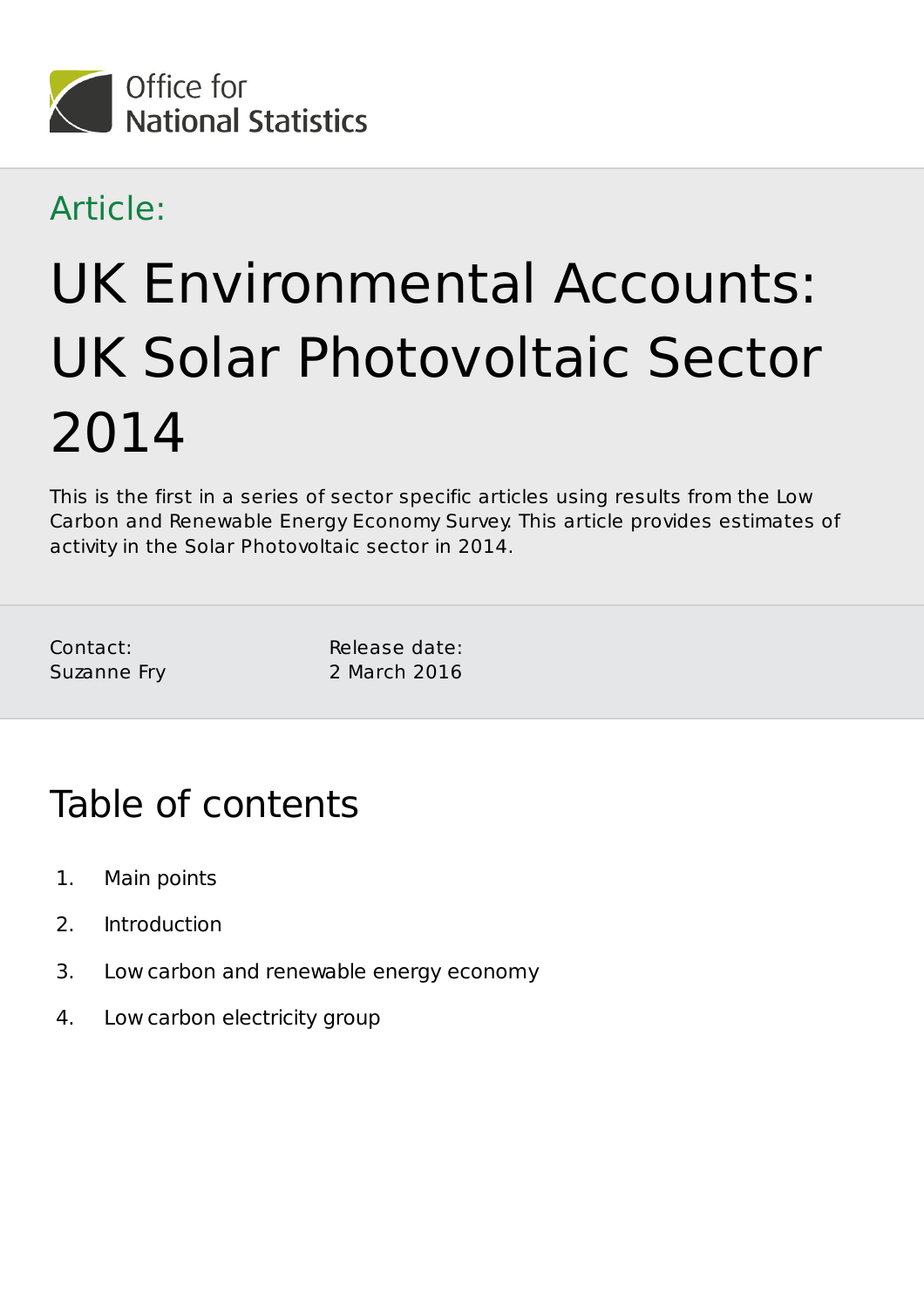

### Article:

# UK Environmental Accounts: UK Solar Photovoltaic Sector 2014

This is the first in a series of sector specific articles using results from the Low Carbon and Renewable Energy Economy Survey. This article provides estimates of activity in the Solar Photovoltaic sector in 2014.

Contact: Suzanne Fry Release date: 2 March 2016

# Table of contents

- 1. Main points
- 2. Introduction
- 3. Low carbon and renewable energy economy
- 4. Low carbon electricity group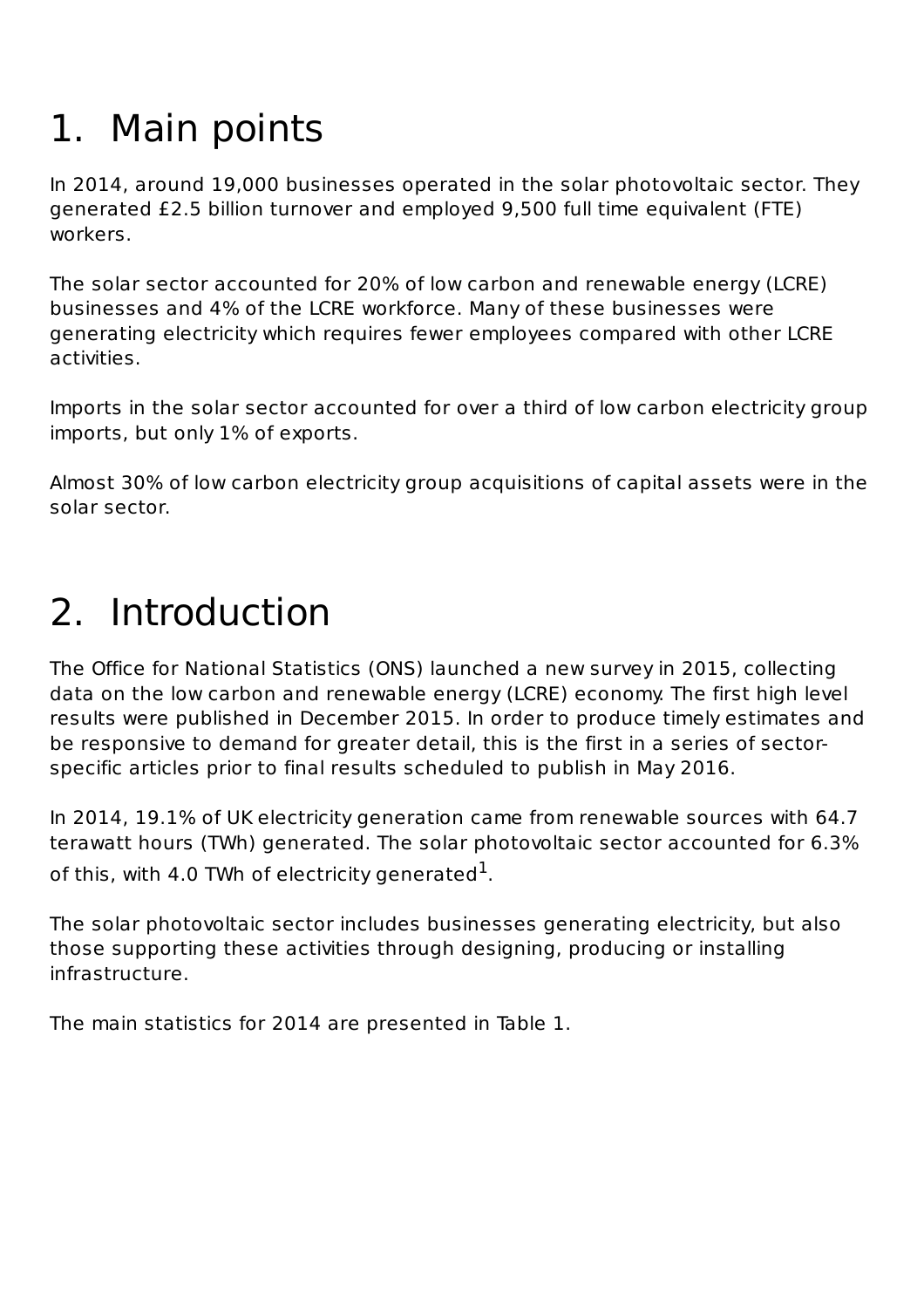# 1. Main points

In 2014, around 19,000 businesses operated in the solar photovoltaic sector. They generated £2.5 billion turnover and employed 9,500 full time equivalent (FTE) workers.

The solar sector accounted for 20% of low carbon and renewable energy (LCRE) businesses and 4% of the LCRE workforce. Many of these businesses were generating electricity which requires fewer employees compared with other LCRE activities.

Imports in the solar sector accounted for over a third of low carbon electricity group imports, but only 1% of exports.

Almost 30% of low carbon electricity group acquisitions of capital assets were in the solar sector.

# 2. Introduction

The Office for National Statistics (ONS) launched a new survey in 2015, collecting data on the low carbon and renewable energy (LCRE) economy. The first high level results were published in December 2015. In order to produce timely estimates and be responsive to demand for greater detail, this is the first in a series of sectorspecific articles prior to final results scheduled to publish in May 2016.

In 2014, 19.1% of UK electricity generation came from renewable sources with 64.7 terawatt hours (TWh) generated. The solar photovoltaic sector accounted for 6.3% of this, with 4.0 TWh of electricity generated $^{\rm 1}$ .

The solar photovoltaic sector includes businesses generating electricity, but also those supporting these activities through designing, producing or installing infrastructure.

The main statistics for 2014 are presented in Table 1.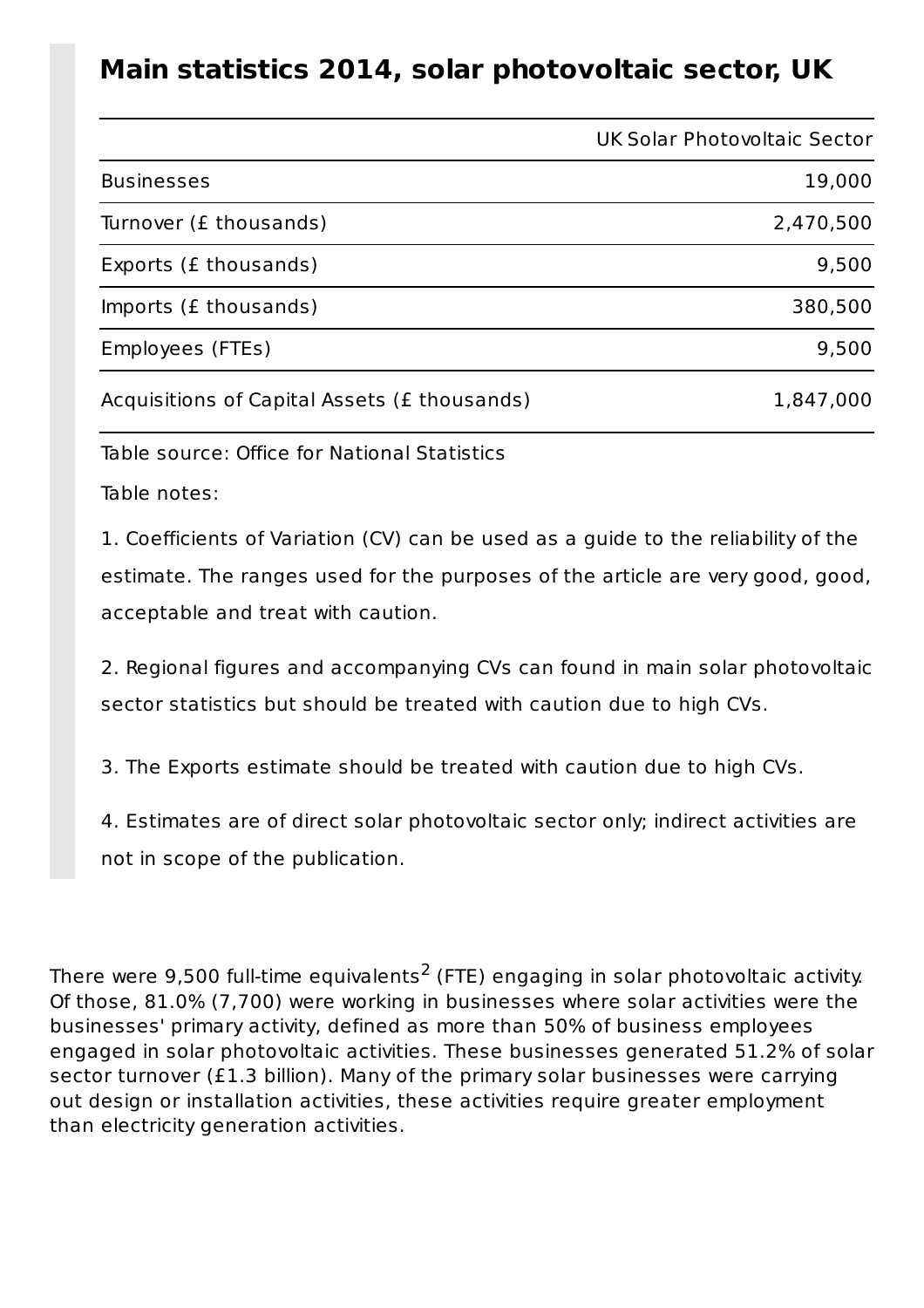#### **Main statistics 2014, solar photovoltaic sector, UK**

|                                              | <b>UK Solar Photovoltaic Sector</b> |
|----------------------------------------------|-------------------------------------|
| <b>Businesses</b>                            | 19,000                              |
| Turnover (£ thousands)                       | 2,470,500                           |
| Exports (£ thousands)                        | 9,500                               |
| Imports (£ thousands)                        | 380,500                             |
| Employees (FTEs)                             | 9,500                               |
| Acquisitions of Capital Assets (£ thousands) | 1,847,000                           |

Table source: Office for National Statistics

Table notes:

1. Coefficients of Variation (CV) can be used as a guide to the reliability of the estimate. The ranges used for the purposes of the article are very good, good, acceptable and treat with caution.

2. Regional figures and accompanying CVs can found in main solar photovoltaic sector statistics but should be treated with caution due to high CVs.

3. The Exports estimate should be treated with caution due to high CVs.

4. Estimates are of direct solar photovoltaic sector only; indirect activities are not in scope of the publication.

There were 9,500 full-time equivalents<sup>2</sup> (FTE) engaging in solar photovoltaic activity. Of those, 81.0% (7,700) were working in businesses where solar activities were the businesses' primary activity, defined as more than 50% of business employees engaged in solar photovoltaic activities. These businesses generated 51.2% of solar sector turnover (£1.3 billion). Many of the primary solar businesses were carrying out design or installation activities, these activities require greater employment than electricity generation activities.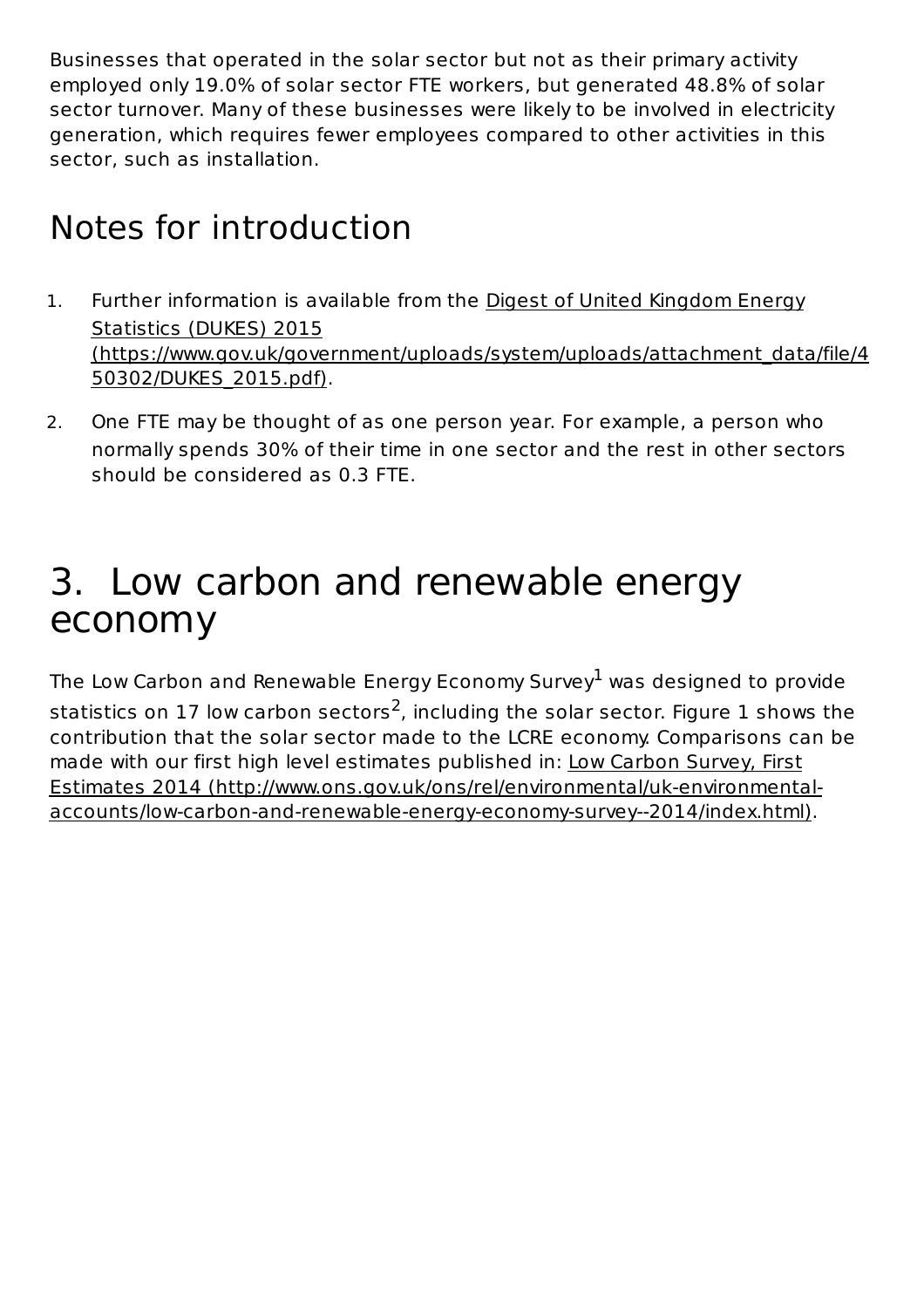Businesses that operated in the solar sector but not as their primary activity employed only 19.0% of solar sector FTE workers, but generated 48.8% of solar sector turnover. Many of these businesses were likely to be involved in electricity generation, which requires fewer employees compared to other activities in this sector, such as installation.

## Notes for introduction

- 1. Further information is available from the Digest of United Kingdom Energy Statistics (DUKES) 2015 (https://www.gov.uk/government/uploads/system/uploads/attachment\_data/file/4 50302/DUKES\_2015.pdf).
- 2. One FTE may be thought of as one person year. For example, a person who normally spends 30% of their time in one sector and the rest in other sectors should be considered as 0.3 FTE.

## 3. Low carbon and renewable energy economy

The Low Carbon and Renewable Energy Economy Survey $^{\rm 1}$  was designed to provide statistics on 17 low carbon sectors<sup>2</sup>, including the solar sector. Figure 1 shows the contribution that the solar sector made to the LCRE economy. Comparisons can be made with our first high level estimates published in: Low Carbon Survey, First Estimates 2014 (http://www.ons.gov.uk/ons/rel/environmental/uk-environmentalaccounts/low-carbon-and-renewable-energy-economy-survey--2014/index.html).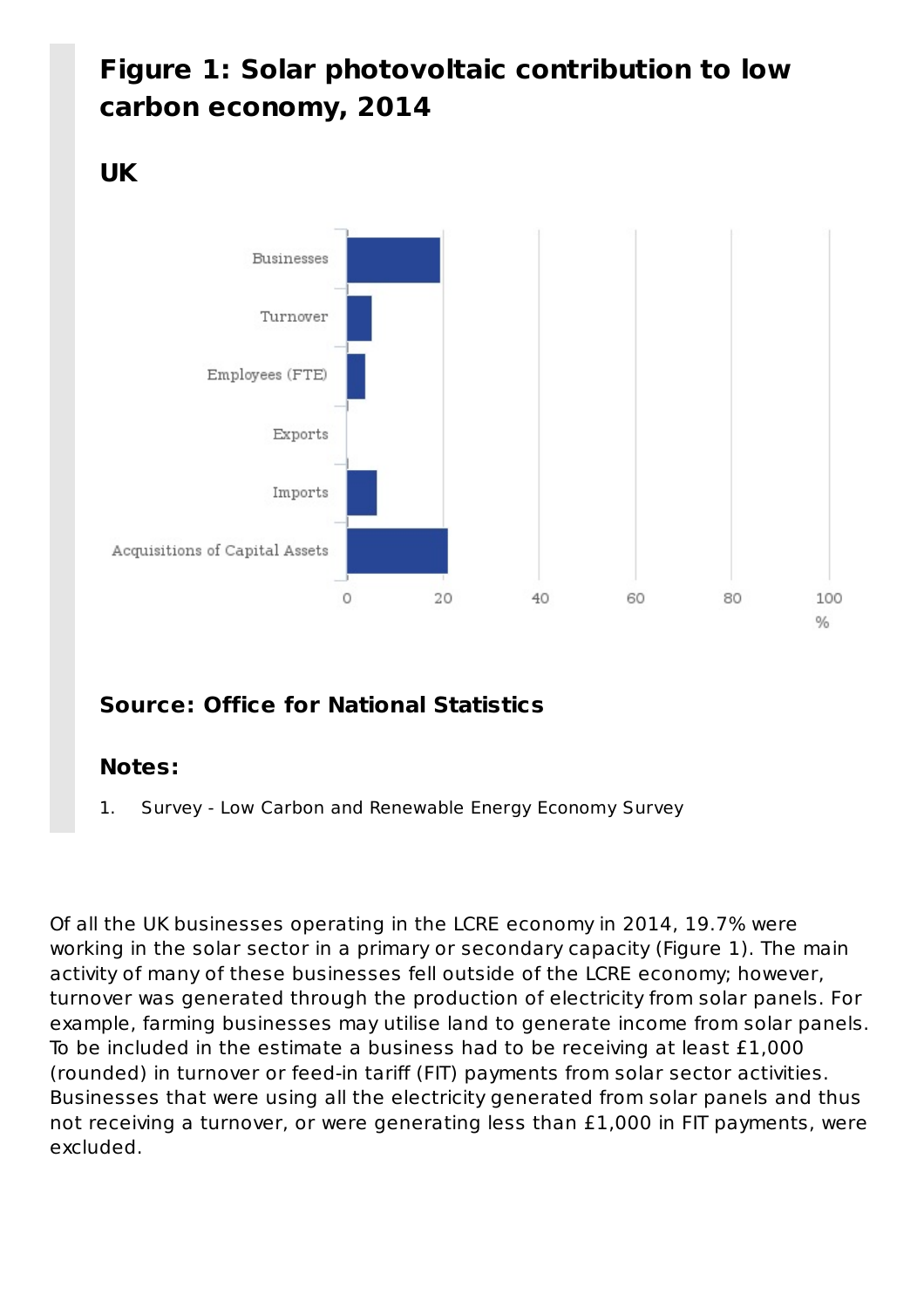### **Figure 1: Solar photovoltaic contribution to low carbon economy, 2014**

#### **UK**



#### **Source: Office for National Statistics**

#### **Notes:**

1. Survey - Low Carbon and Renewable Energy Economy Survey

Of all the UK businesses operating in the LCRE economy in 2014, 19.7% were working in the solar sector in a primary or secondary capacity (Figure 1). The main activity of many of these businesses fell outside of the LCRE economy; however, turnover was generated through the production of electricity from solar panels. For example, farming businesses may utilise land to generate income from solar panels. To be included in the estimate a business had to be receiving at least £1,000 (rounded) in turnover or feed-in tariff (FIT) payments from solar sector activities. Businesses that were using all the electricity generated from solar panels and thus not receiving a turnover, or were generating less than £1,000 in FIT payments, were excluded.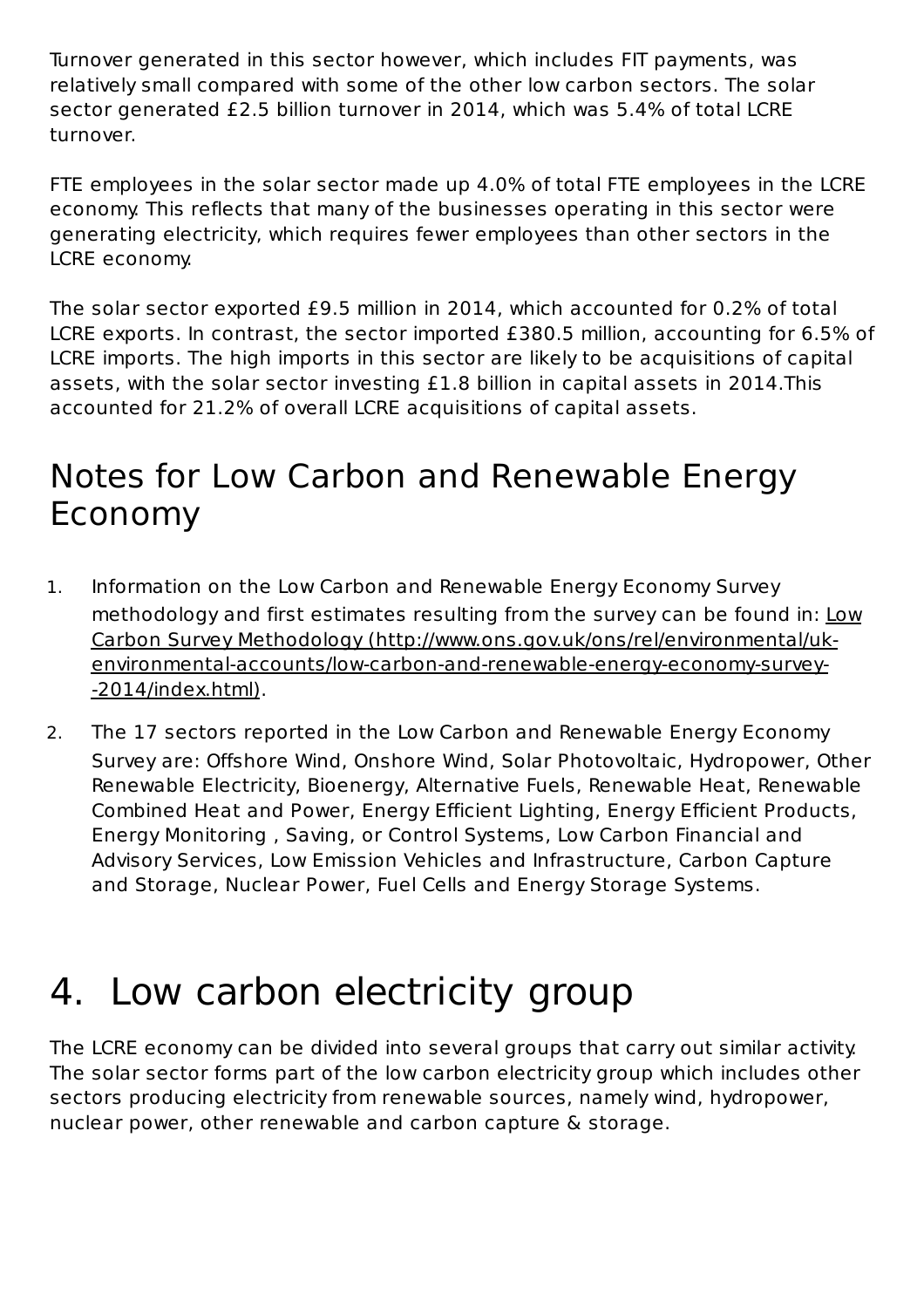Turnover generated in this sector however, which includes FIT payments, was relatively small compared with some of the other low carbon sectors. The solar sector generated £2.5 billion turnover in 2014, which was 5.4% of total LCRE turnover.

FTE employees in the solar sector made up 4.0% of total FTE employees in the LCRE economy. This reflects that many of the businesses operating in this sector were generating electricity, which requires fewer employees than other sectors in the LCRE economy.

The solar sector exported £9.5 million in 2014, which accounted for 0.2% of total LCRE exports. In contrast, the sector imported £380.5 million, accounting for 6.5% of LCRE imports. The high imports in this sector are likely to be acquisitions of capital assets, with the solar sector investing £1.8 billion in capital assets in 2014.This accounted for 21.2% of overall LCRE acquisitions of capital assets.

### Notes for Low Carbon and Renewable Energy Economy

- 1. Information on the Low Carbon and Renewable Energy Economy Survey methodology and first estimates resulting from the survey can be found in: Low Carbon Survey Methodology (http://www.ons.gov.uk/ons/rel/environmental/ukenvironmental-accounts/low-carbon-and-renewable-energy-economy-survey- -2014/index.html).
- 2. The 17 sectors reported in the Low Carbon and Renewable Energy Economy Survey are: Offshore Wind, Onshore Wind, Solar Photovoltaic, Hydropower, Other Renewable Electricity, Bioenergy, Alternative Fuels, Renewable Heat, Renewable Combined Heat and Power, Energy Efficient Lighting, Energy Efficient Products, Energy Monitoring , Saving, or Control Systems, Low Carbon Financial and Advisory Services, Low Emission Vehicles and Infrastructure, Carbon Capture and Storage, Nuclear Power, Fuel Cells and Energy Storage Systems.

# 4. Low carbon electricity group

The LCRE economy can be divided into several groups that carry out similar activity. The solar sector forms part of the low carbon electricity group which includes other sectors producing electricity from renewable sources, namely wind, hydropower, nuclear power, other renewable and carbon capture & storage.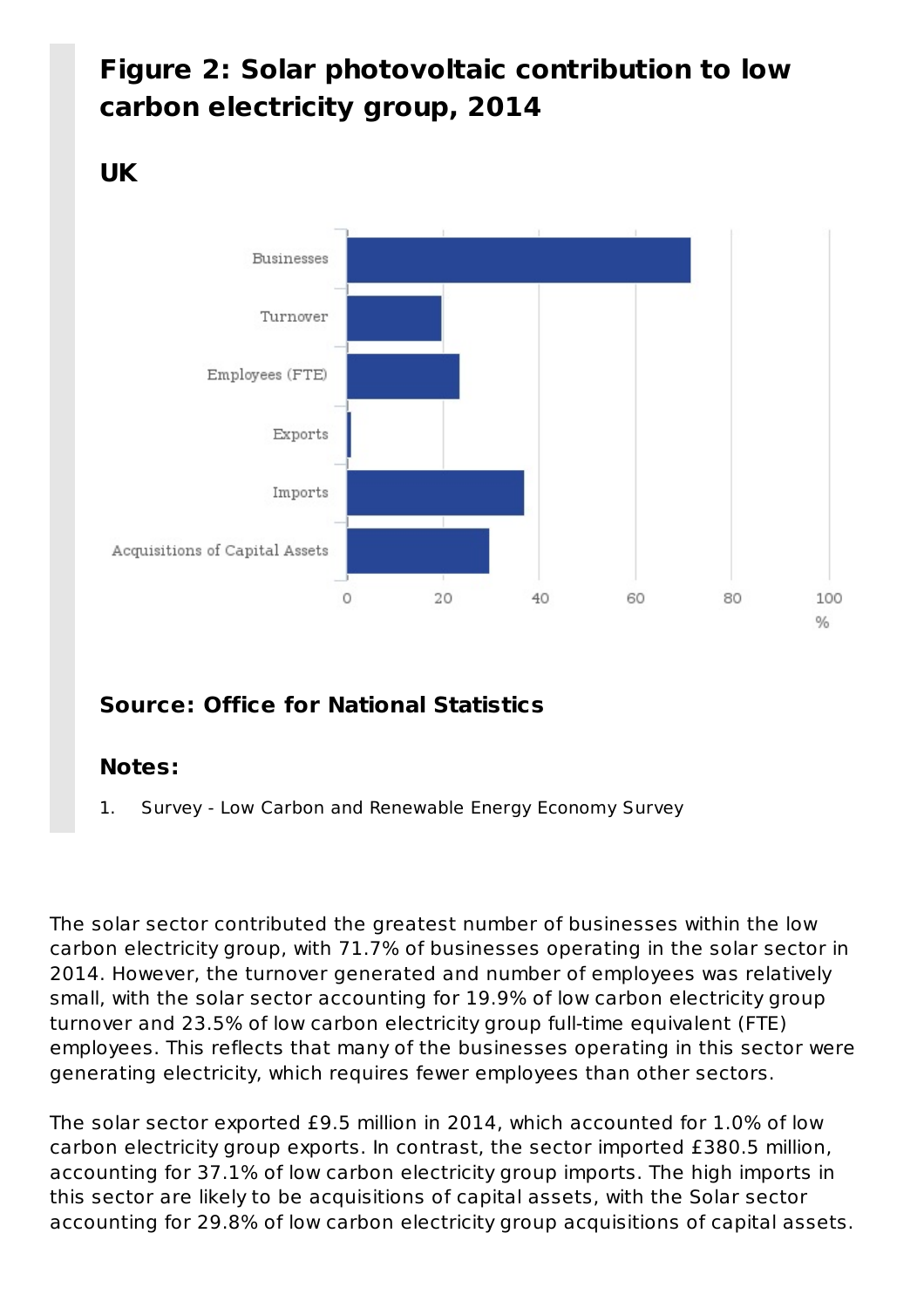### **Figure 2: Solar photovoltaic contribution to low carbon electricity group, 2014**

#### **UK**



#### **Source: Office for National Statistics**

#### **Notes:**

1. Survey - Low Carbon and Renewable Energy Economy Survey

The solar sector contributed the greatest number of businesses within the low carbon electricity group, with 71.7% of businesses operating in the solar sector in 2014. However, the turnover generated and number of employees was relatively small, with the solar sector accounting for 19.9% of low carbon electricity group turnover and 23.5% of low carbon electricity group full-time equivalent (FTE) employees. This reflects that many of the businesses operating in this sector were generating electricity, which requires fewer employees than other sectors.

The solar sector exported £9.5 million in 2014, which accounted for 1.0% of low carbon electricity group exports. In contrast, the sector imported £380.5 million, accounting for 37.1% of low carbon electricity group imports. The high imports in this sector are likely to be acquisitions of capital assets, with the Solar sector accounting for 29.8% of low carbon electricity group acquisitions of capital assets.